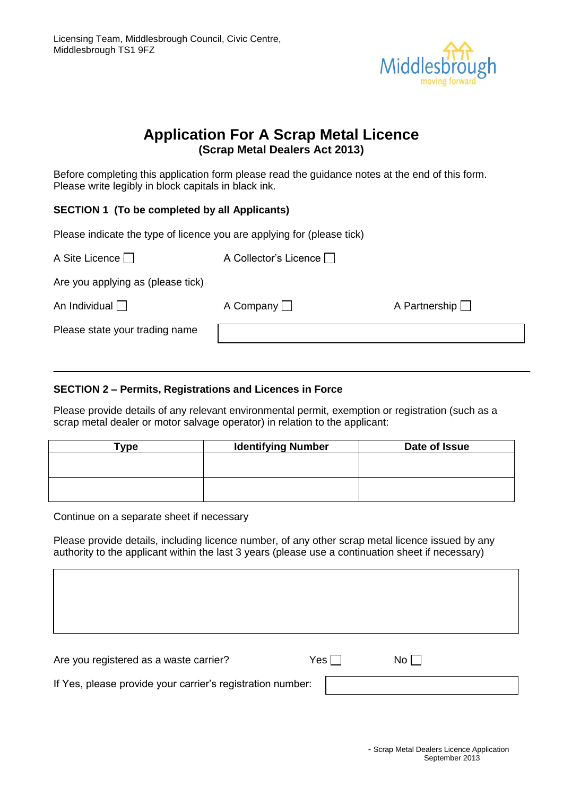

# **Application For A Scrap Metal Licence (Scrap Metal Dealers Act 2013)**

Before completing this application form please read the guidance notes at the end of this form. Please write legibly in block capitals in black ink.

# **SECTION 1 (To be completed by all Applicants)**

Please indicate the type of licence you are applying for (please tick)

| A Site Licence $\Box$             | A Collector's Licence |                      |
|-----------------------------------|-----------------------|----------------------|
| Are you applying as (please tick) |                       |                      |
| An Individual $\Box$              | A Company $\Box$      | A Partnership $\Box$ |
| Please state your trading name    |                       |                      |

# **SECTION 2 – Permits, Registrations and Licences in Force**

Please provide details of any relevant environmental permit, exemption or registration (such as a scrap metal dealer or motor salvage operator) in relation to the applicant:

| Type | <b>Identifying Number</b> | Date of Issue |
|------|---------------------------|---------------|
|      |                           |               |
|      |                           |               |
|      |                           |               |
|      |                           |               |

Continue on a separate sheet if necessary

Please provide details, including licence number, of any other scrap metal licence issued by any authority to the applicant within the last 3 years (please use a continuation sheet if necessary)

Are you registered as a waste carrier?  $Yes \Box$  No  $\Box$ 

If Yes, please provide your carrier's registration number: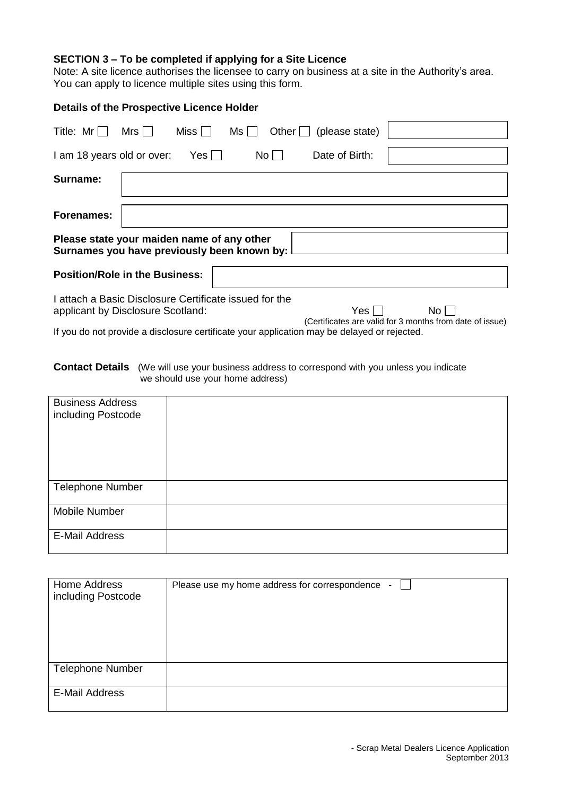# **SECTION 3 – To be completed if applying for a Site Licence**

Note: A site licence authorises the licensee to carry on business at a site in the Authority's area. You can apply to licence multiple sites using this form.

#### **Details of the Prospective Licence Holder**

| Title: Mr                                                                                   | Mrs I | Miss | Ms I I |             | Other $\Box$ (please state) |                                                          |
|---------------------------------------------------------------------------------------------|-------|------|--------|-------------|-----------------------------|----------------------------------------------------------|
| I am 18 years old or over:                                                                  |       | Yes  |        | $No$ $\Box$ | Date of Birth:              |                                                          |
| Surname:                                                                                    |       |      |        |             |                             |                                                          |
|                                                                                             |       |      |        |             |                             |                                                          |
| Forenames:                                                                                  |       |      |        |             |                             |                                                          |
| Please state your maiden name of any other<br>Surnames you have previously been known by:   |       |      |        |             |                             |                                                          |
| <b>Position/Role in the Business:</b>                                                       |       |      |        |             |                             |                                                          |
| I attach a Basic Disclosure Certificate issued for the                                      |       |      |        |             |                             |                                                          |
| applicant by Disclosure Scotland:                                                           |       |      |        |             | Yes                         | No l                                                     |
|                                                                                             |       |      |        |             |                             | (Certificates are valid for 3 months from date of issue) |
| If you do not provide a disclosure certificate your application may be delayed or rejected. |       |      |        |             |                             |                                                          |

**Contact Details** (We will use your business address to correspond with you unless you indicate

we should use your home address)

| <b>Business Address</b><br>including Postcode |  |
|-----------------------------------------------|--|
| <b>Telephone Number</b>                       |  |
| Mobile Number                                 |  |
| <b>E-Mail Address</b>                         |  |

| Home Address<br>including Postcode | Please use my home address for correspondence - |
|------------------------------------|-------------------------------------------------|
| <b>Telephone Number</b>            |                                                 |
| <b>E-Mail Address</b>              |                                                 |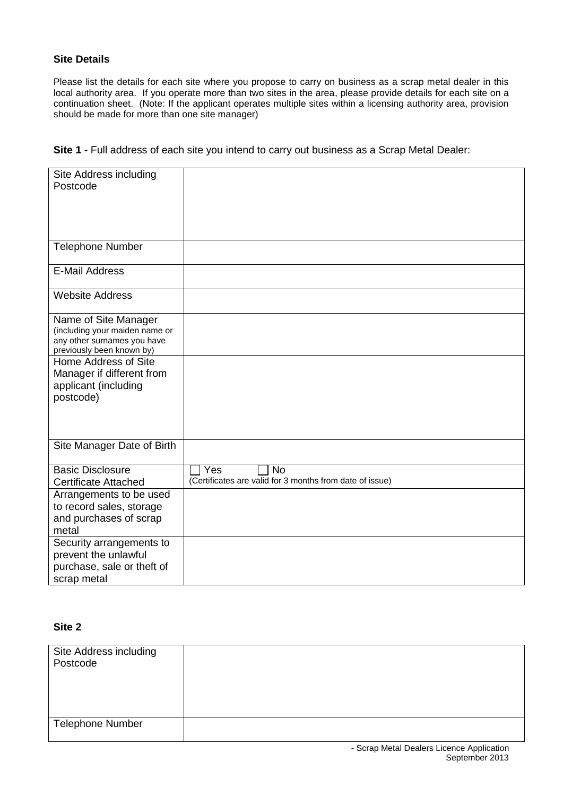# **Site Details**

Please list the details for each site where you propose to carry on business as a scrap metal dealer in this local authority area. If you operate more than two sites in the area, please provide details for each site on a continuation sheet. (Note: If the applicant operates multiple sites within a licensing authority area, provision should be made for more than one site manager)

| Site 1 - Full address of each site you intend to carry out business as a Scrap Metal Dealer: |
|----------------------------------------------------------------------------------------------|
|----------------------------------------------------------------------------------------------|

| Site Address including         |                                                          |
|--------------------------------|----------------------------------------------------------|
| Postcode                       |                                                          |
|                                |                                                          |
|                                |                                                          |
|                                |                                                          |
|                                |                                                          |
|                                |                                                          |
| <b>Telephone Number</b>        |                                                          |
|                                |                                                          |
| <b>E-Mail Address</b>          |                                                          |
|                                |                                                          |
|                                |                                                          |
| <b>Website Address</b>         |                                                          |
|                                |                                                          |
| Name of Site Manager           |                                                          |
| (including your maiden name or |                                                          |
| any other surnames you have    |                                                          |
| previously been known by)      |                                                          |
| Home Address of Site           |                                                          |
|                                |                                                          |
| Manager if different from      |                                                          |
| applicant (including           |                                                          |
| postcode)                      |                                                          |
|                                |                                                          |
|                                |                                                          |
|                                |                                                          |
|                                |                                                          |
| Site Manager Date of Birth     |                                                          |
|                                |                                                          |
| <b>Basic Disclosure</b>        | Yes<br><b>No</b>                                         |
| <b>Certificate Attached</b>    | (Certificates are valid for 3 months from date of issue) |
| Arrangements to be used        |                                                          |
|                                |                                                          |
| to record sales, storage       |                                                          |
| and purchases of scrap         |                                                          |
| metal                          |                                                          |
| Security arrangements to       |                                                          |
| prevent the unlawful           |                                                          |
| purchase, sale or theft of     |                                                          |
|                                |                                                          |
| scrap metal                    |                                                          |

# **Site 2**

| Site Address including<br>Postcode |  |
|------------------------------------|--|
| <b>Telephone Number</b>            |  |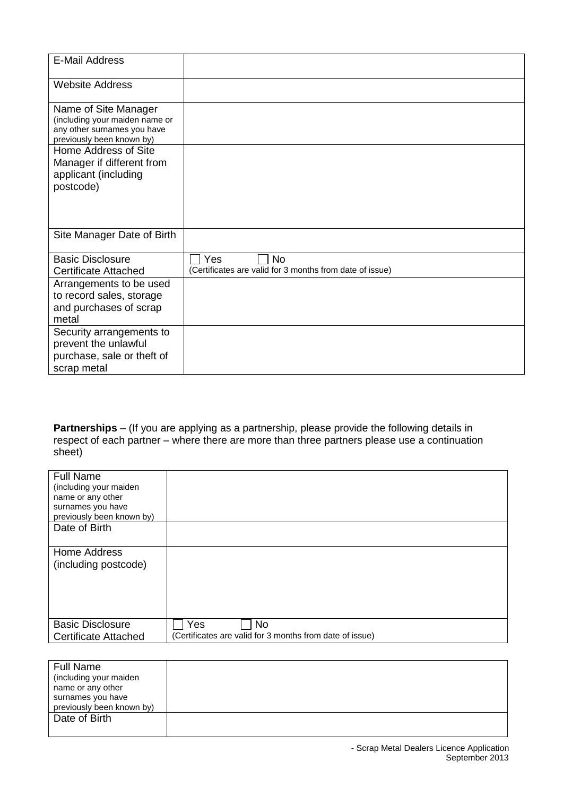| <b>E-Mail Address</b>                                    |                                                          |
|----------------------------------------------------------|----------------------------------------------------------|
|                                                          |                                                          |
| <b>Website Address</b>                                   |                                                          |
|                                                          |                                                          |
| Name of Site Manager                                     |                                                          |
| (including your maiden name or                           |                                                          |
| any other surnames you have<br>previously been known by) |                                                          |
| Home Address of Site                                     |                                                          |
| Manager if different from                                |                                                          |
| applicant (including                                     |                                                          |
| postcode)                                                |                                                          |
|                                                          |                                                          |
|                                                          |                                                          |
|                                                          |                                                          |
| Site Manager Date of Birth                               |                                                          |
|                                                          |                                                          |
| <b>Basic Disclosure</b>                                  | Yes<br><b>No</b>                                         |
| <b>Certificate Attached</b>                              | (Certificates are valid for 3 months from date of issue) |
| Arrangements to be used                                  |                                                          |
| to record sales, storage                                 |                                                          |
| and purchases of scrap                                   |                                                          |
| metal                                                    |                                                          |
|                                                          |                                                          |
| Security arrangements to                                 |                                                          |
| prevent the unlawful                                     |                                                          |
| purchase, sale or theft of                               |                                                          |
| scrap metal                                              |                                                          |

**Partnerships** – (If you are applying as a partnership, please provide the following details in respect of each partner – where there are more than three partners please use a continuation sheet)

| <b>Full Name</b>            |                                                          |
|-----------------------------|----------------------------------------------------------|
| (including your maiden      |                                                          |
| name or any other           |                                                          |
| surnames you have           |                                                          |
| previously been known by)   |                                                          |
| Date of Birth               |                                                          |
|                             |                                                          |
| Home Address                |                                                          |
|                             |                                                          |
| (including postcode)        |                                                          |
|                             |                                                          |
|                             |                                                          |
|                             |                                                          |
|                             |                                                          |
|                             |                                                          |
| <b>Basic Disclosure</b>     | Yes<br><b>No</b>                                         |
| <b>Certificate Attached</b> | (Certificates are valid for 3 months from date of issue) |
|                             |                                                          |

| <b>Full Name</b>          |  |
|---------------------------|--|
| (including your maiden    |  |
| name or any other         |  |
| surnames you have         |  |
| previously been known by) |  |
| Date of Birth             |  |
|                           |  |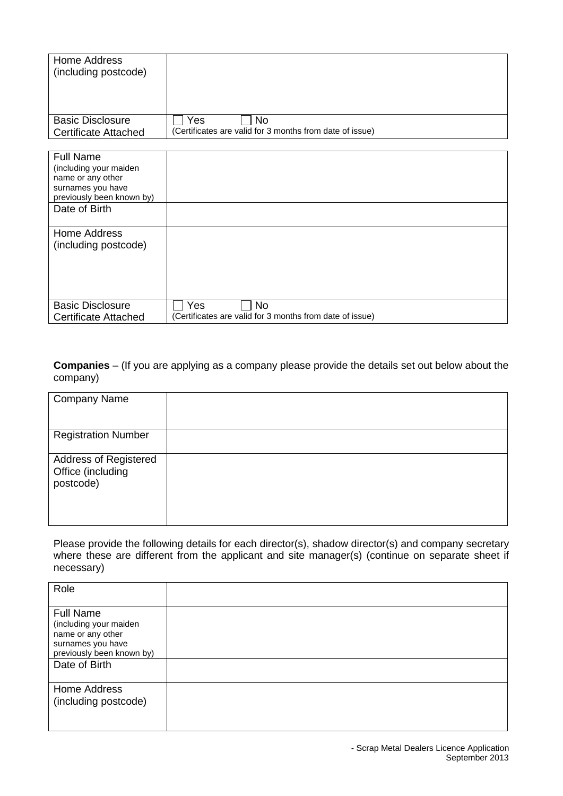| Home Address                |                                                          |
|-----------------------------|----------------------------------------------------------|
| (including postcode)        |                                                          |
|                             |                                                          |
|                             |                                                          |
|                             |                                                          |
|                             |                                                          |
| <b>Basic Disclosure</b>     | Yes<br>No                                                |
| <b>Certificate Attached</b> | (Certificates are valid for 3 months from date of issue) |
|                             |                                                          |
|                             |                                                          |
| <b>Full Name</b>            |                                                          |
| (including your maiden      |                                                          |
| name or any other           |                                                          |
| surnames you have           |                                                          |
| previously been known by)   |                                                          |
| Date of Birth               |                                                          |
|                             |                                                          |
|                             |                                                          |
| Home Address                |                                                          |
| (including postcode)        |                                                          |
|                             |                                                          |
|                             |                                                          |
|                             |                                                          |
|                             |                                                          |
|                             |                                                          |
| <b>Basic Disclosure</b>     | Yes<br><b>No</b>                                         |
|                             |                                                          |
| <b>Certificate Attached</b> | (Certificates are valid for 3 months from date of issue) |

**Companies** – (If you are applying as a company please provide the details set out below about the company)

| <b>Company Name</b>                                     |  |
|---------------------------------------------------------|--|
| <b>Registration Number</b>                              |  |
| Address of Registered<br>Office (including<br>postcode) |  |

Please provide the following details for each director(s), shadow director(s) and company secretary where these are different from the applicant and site manager(s) (continue on separate sheet if necessary)

| Role                                                                                                              |  |
|-------------------------------------------------------------------------------------------------------------------|--|
| <b>Full Name</b><br>(including your maiden<br>name or any other<br>surnames you have<br>previously been known by) |  |
| Date of Birth                                                                                                     |  |
| Home Address<br>(including postcode)                                                                              |  |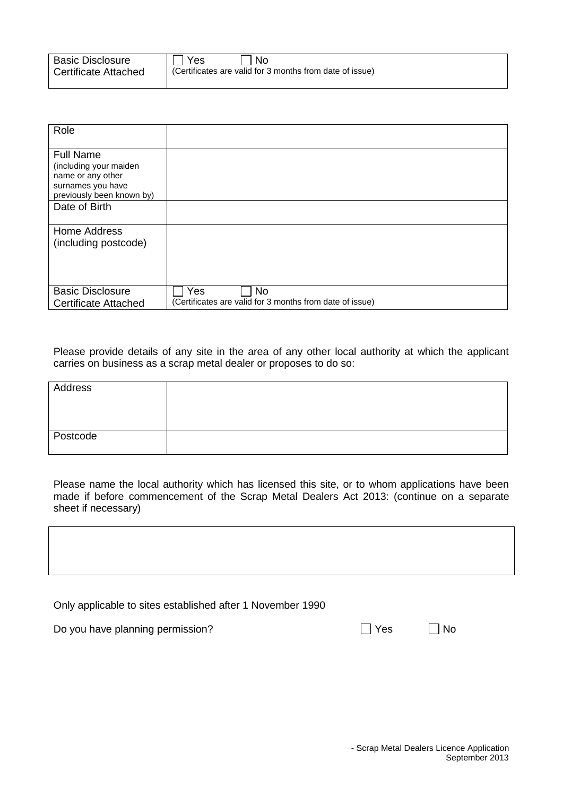| <b>Basic Disclosure</b>     | l No<br>l Yes                                            |
|-----------------------------|----------------------------------------------------------|
| <b>Certificate Attached</b> | (Certificates are valid for 3 months from date of issue) |

| Role                        |                                                          |
|-----------------------------|----------------------------------------------------------|
|                             |                                                          |
|                             |                                                          |
| <b>Full Name</b>            |                                                          |
| (including your maiden      |                                                          |
| name or any other           |                                                          |
| surnames you have           |                                                          |
| previously been known by)   |                                                          |
| Date of Birth               |                                                          |
|                             |                                                          |
| Home Address                |                                                          |
|                             |                                                          |
| (including postcode)        |                                                          |
|                             |                                                          |
|                             |                                                          |
|                             |                                                          |
| <b>Basic Disclosure</b>     | Yes<br><b>No</b>                                         |
|                             |                                                          |
| <b>Certificate Attached</b> | (Certificates are valid for 3 months from date of issue) |

Please provide details of any site in the area of any other local authority at which the applicant carries on business as a scrap metal dealer or proposes to do so:

| Address  |  |
|----------|--|
| Postcode |  |

Please name the local authority which has licensed this site, or to whom applications have been made if before commencement of the Scrap Metal Dealers Act 2013: (continue on a separate sheet if necessary)

|  |  |  | Only applicable to sites established after 1 November 1990 |  |  |  |
|--|--|--|------------------------------------------------------------|--|--|--|
|--|--|--|------------------------------------------------------------|--|--|--|

Do you have planning permission? Yes No

|--|--|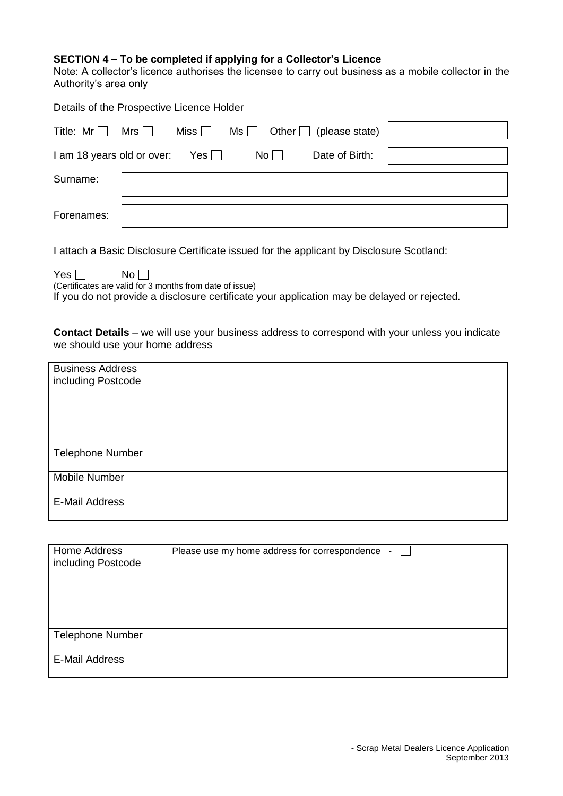#### **SECTION 4 – To be completed if applying for a Collector's Licence**

Note: A collector's licence authorises the licensee to carry out business as a mobile collector in the Authority's area only

| Details of the Prospective Licence Holder |              |    |                                                   |  |
|-------------------------------------------|--------------|----|---------------------------------------------------|--|
| Title: $Mr \Box$ Mrs $\Box$               |              |    | Miss $\Box$ Ms $\Box$ Other $\Box$ (please state) |  |
| I am 18 years old or over:                | $Yes$ $\Box$ | No | Date of Birth:                                    |  |
| Surname:                                  |              |    |                                                   |  |
| Forenames:                                |              |    |                                                   |  |

I attach a Basic Disclosure Certificate issued for the applicant by Disclosure Scotland:

 $Yes \Box$  No

(Certificates are valid for 3 months from date of issue)

If you do not provide a disclosure certificate your application may be delayed or rejected.

**Contact Details** – we will use your business address to correspond with your unless you indicate we should use your home address

| <b>Business Address</b><br>including Postcode |  |
|-----------------------------------------------|--|
|                                               |  |
| <b>Telephone Number</b>                       |  |
| Mobile Number                                 |  |
| <b>E-Mail Address</b>                         |  |

| Home Address<br>including Postcode | Please use my home address for correspondence - |
|------------------------------------|-------------------------------------------------|
| <b>Telephone Number</b>            |                                                 |
| <b>E-Mail Address</b>              |                                                 |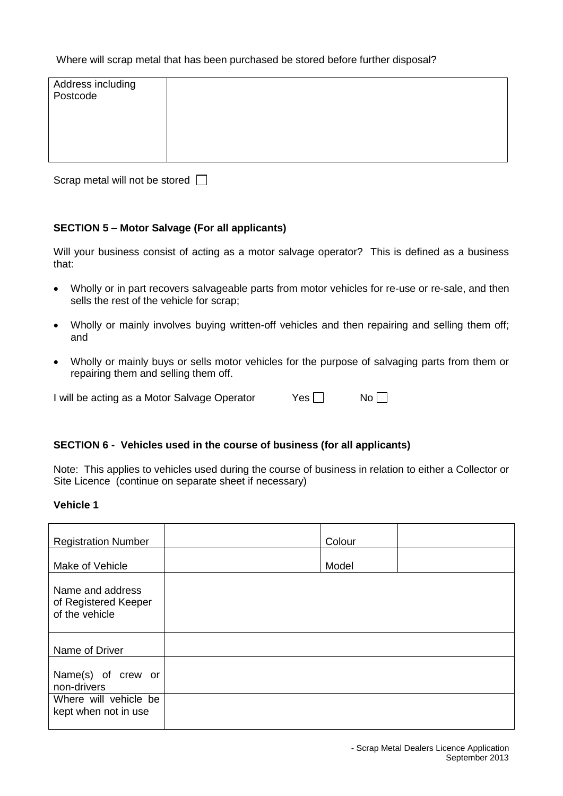# Where will scrap metal that has been purchased be stored before further disposal?

| Address including<br>Postcode |  |
|-------------------------------|--|
|                               |  |
|                               |  |
|                               |  |

Scrap metal will not be stored  $\Box$ 

# **SECTION 5 – Motor Salvage (For all applicants)**

Will your business consist of acting as a motor salvage operator? This is defined as a business that:

- Wholly or in part recovers salvageable parts from motor vehicles for re-use or re-sale, and then sells the rest of the vehicle for scrap;
- Wholly or mainly involves buying written-off vehicles and then repairing and selling them off; and
- Wholly or mainly buys or sells motor vehicles for the purpose of salvaging parts from them or repairing them and selling them off.

I will be acting as a Motor Salvage Operator Yes No  $\Box$  No  $\Box$ 

# **SECTION 6 - Vehicles used in the course of business (for all applicants)**

Note: This applies to vehicles used during the course of business in relation to either a Collector or Site Licence (continue on separate sheet if necessary)

#### **Vehicle 1**

| <b>Registration Number</b>                                 | Colour |  |
|------------------------------------------------------------|--------|--|
| Make of Vehicle                                            | Model  |  |
| Name and address<br>of Registered Keeper<br>of the vehicle |        |  |
| Name of Driver                                             |        |  |
| Name(s) of crew or<br>non-drivers                          |        |  |
| Where will vehicle be<br>kept when not in use              |        |  |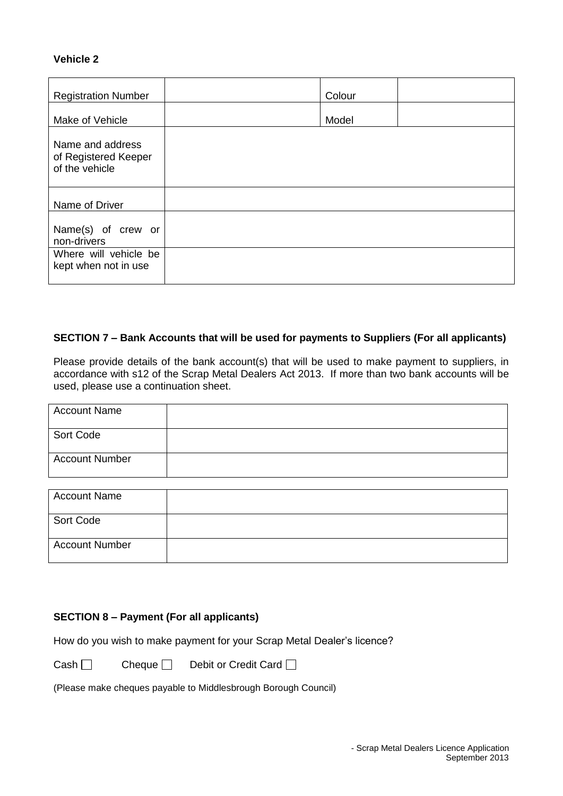# **Vehicle 2**

| <b>Registration Number</b>                                 | Colour |  |
|------------------------------------------------------------|--------|--|
| Make of Vehicle                                            | Model  |  |
| Name and address<br>of Registered Keeper<br>of the vehicle |        |  |
| Name of Driver                                             |        |  |
| Name(s) of crew or<br>non-drivers                          |        |  |
| Where will vehicle be<br>kept when not in use              |        |  |

# **SECTION 7 – Bank Accounts that will be used for payments to Suppliers (For all applicants)**

Please provide details of the bank account(s) that will be used to make payment to suppliers, in accordance with s12 of the Scrap Metal Dealers Act 2013. If more than two bank accounts will be used, please use a continuation sheet.

| <b>Account Name</b>   |  |
|-----------------------|--|
| Sort Code             |  |
| <b>Account Number</b> |  |

| Account Name          |  |
|-----------------------|--|
| Sort Code             |  |
| <b>Account Number</b> |  |

# **SECTION 8 – Payment (For all applicants)**

How do you wish to make payment for your Scrap Metal Dealer's licence?

 $Cash \Box$  Cheque  $\Box$  Debit or Credit Card  $\Box$ 

(Please make cheques payable to Middlesbrough Borough Council)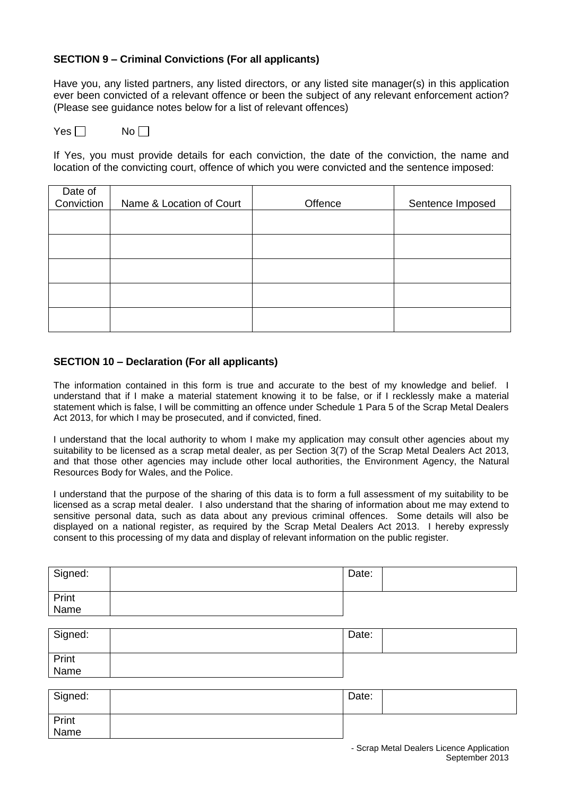# **SECTION 9 – Criminal Convictions (For all applicants)**

Have you, any listed partners, any listed directors, or any listed site manager(s) in this application ever been convicted of a relevant offence or been the subject of any relevant enforcement action? (Please see guidance notes below for a list of relevant offences)

 $Yes \Box$  No  $\Box$ 

If Yes, you must provide details for each conviction, the date of the conviction, the name and location of the convicting court, offence of which you were convicted and the sentence imposed:

| Date of<br>Conviction | Name & Location of Court | Offence | Sentence Imposed |
|-----------------------|--------------------------|---------|------------------|
|                       |                          |         |                  |
|                       |                          |         |                  |
|                       |                          |         |                  |
|                       |                          |         |                  |
|                       |                          |         |                  |

#### **SECTION 10 – Declaration (For all applicants)**

The information contained in this form is true and accurate to the best of my knowledge and belief. I understand that if I make a material statement knowing it to be false, or if I recklessly make a material statement which is false, I will be committing an offence under Schedule 1 Para 5 of the Scrap Metal Dealers Act 2013, for which I may be prosecuted, and if convicted, fined.

I understand that the local authority to whom I make my application may consult other agencies about my suitability to be licensed as a scrap metal dealer, as per Section 3(7) of the Scrap Metal Dealers Act 2013, and that those other agencies may include other local authorities, the Environment Agency, the Natural Resources Body for Wales, and the Police.

I understand that the purpose of the sharing of this data is to form a full assessment of my suitability to be licensed as a scrap metal dealer. I also understand that the sharing of information about me may extend to sensitive personal data, such as data about any previous criminal offences. Some details will also be displayed on a national register, as required by the Scrap Metal Dealers Act 2013. I hereby expressly consent to this processing of my data and display of relevant information on the public register.

| Signed:       | Date: |  |
|---------------|-------|--|
| Print<br>Name |       |  |

| Signed:                    | Date: |  |
|----------------------------|-------|--|
| <sup>l</sup> Print<br>Name |       |  |

| Signed:       | Date: |  |
|---------------|-------|--|
| Print<br>Name |       |  |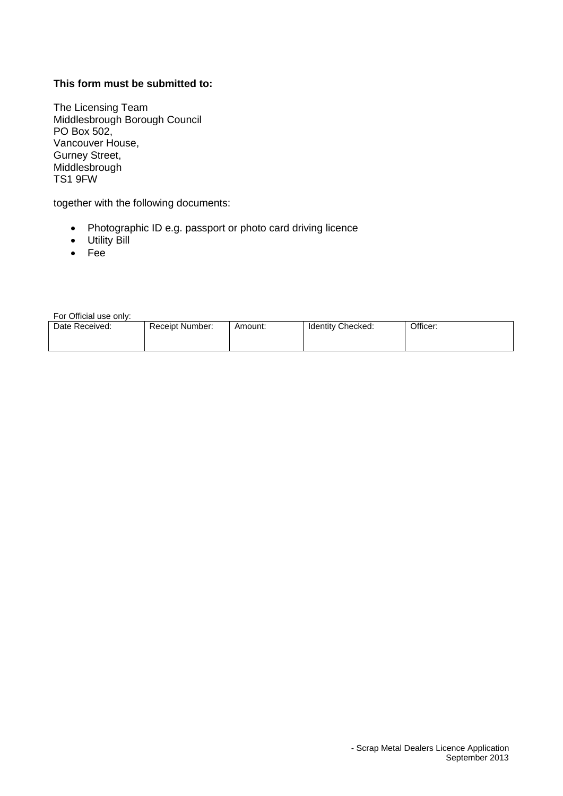# **This form must be submitted to:**

The Licensing Team Middlesbrough Borough Council PO Box 502, Vancouver House, Gurney Street, **Middlesbrough** TS1 9FW

together with the following documents:

- Photographic ID e.g. passport or photo card driving licence
- Utility Bill
- Fee

For Official use only:

| Date Received: | Receipt Number: | Amount: | Identity Checked: | Officer: |
|----------------|-----------------|---------|-------------------|----------|
|                |                 |         |                   |          |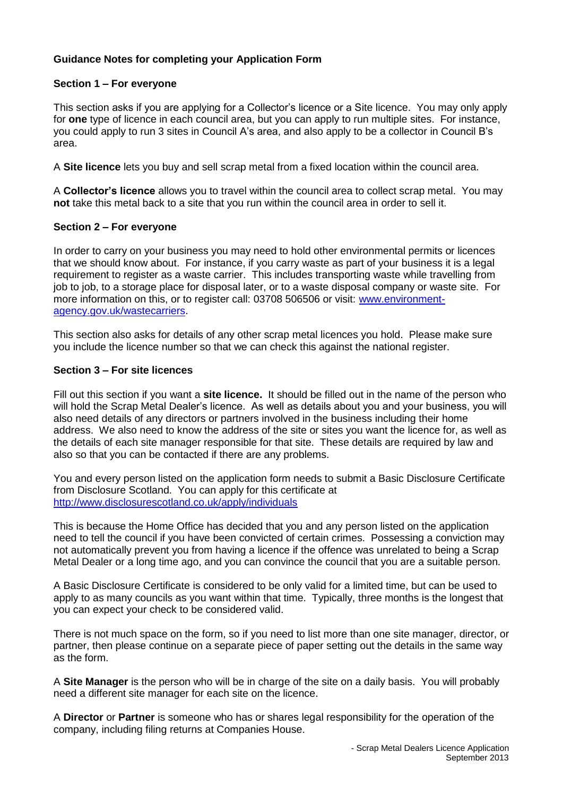# **Guidance Notes for completing your Application Form**

# **Section 1 – For everyone**

This section asks if you are applying for a Collector's licence or a Site licence. You may only apply for **one** type of licence in each council area, but you can apply to run multiple sites. For instance, you could apply to run 3 sites in Council A's area, and also apply to be a collector in Council B's area.

A **Site licence** lets you buy and sell scrap metal from a fixed location within the council area.

A **Collector's licence** allows you to travel within the council area to collect scrap metal. You may **not** take this metal back to a site that you run within the council area in order to sell it.

#### **Section 2 – For everyone**

In order to carry on your business you may need to hold other environmental permits or licences that we should know about. For instance, if you carry waste as part of your business it is a legal requirement to register as a waste carrier. This includes transporting waste while travelling from job to job, to a storage place for disposal later, or to a waste disposal company or waste site. For more information on this, or to register call: 03708 506506 or visit: [www.environment](http://www.environment-agency.gov.uk/wastecarriers)[agency.gov.uk/wastecarriers.](http://www.environment-agency.gov.uk/wastecarriers)

This section also asks for details of any other scrap metal licences you hold. Please make sure you include the licence number so that we can check this against the national register.

## **Section 3 – For site licences**

Fill out this section if you want a **site licence.** It should be filled out in the name of the person who will hold the Scrap Metal Dealer's licence. As well as details about you and your business, you will also need details of any directors or partners involved in the business including their home address. We also need to know the address of the site or sites you want the licence for, as well as the details of each site manager responsible for that site. These details are required by law and also so that you can be contacted if there are any problems.

You and every person listed on the application form needs to submit a Basic Disclosure Certificate from Disclosure Scotland. You can apply for this certificate at <http://www.disclosurescotland.co.uk/apply/individuals>

This is because the Home Office has decided that you and any person listed on the application need to tell the council if you have been convicted of certain crimes. Possessing a conviction may not automatically prevent you from having a licence if the offence was unrelated to being a Scrap Metal Dealer or a long time ago, and you can convince the council that you are a suitable person.

A Basic Disclosure Certificate is considered to be only valid for a limited time, but can be used to apply to as many councils as you want within that time. Typically, three months is the longest that you can expect your check to be considered valid.

There is not much space on the form, so if you need to list more than one site manager, director, or partner, then please continue on a separate piece of paper setting out the details in the same way as the form.

A **Site Manager** is the person who will be in charge of the site on a daily basis. You will probably need a different site manager for each site on the licence.

A **Director** or **Partner** is someone who has or shares legal responsibility for the operation of the company, including filing returns at Companies House.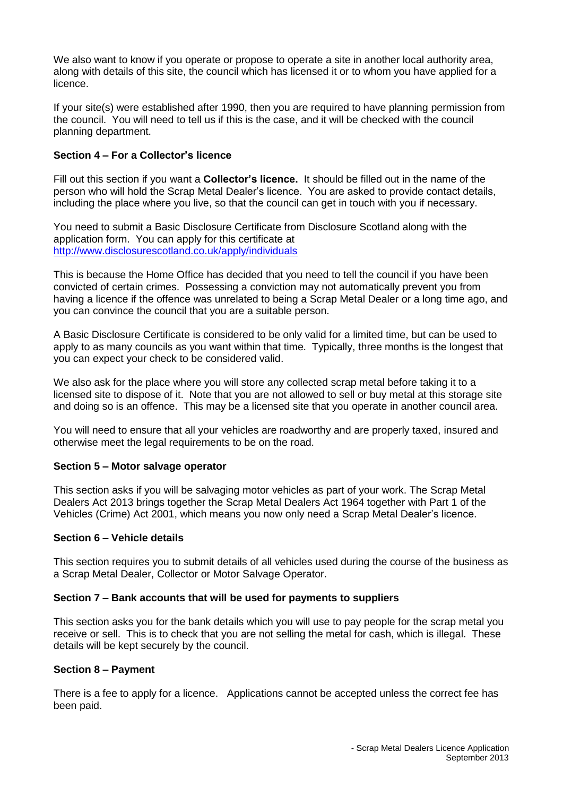We also want to know if you operate or propose to operate a site in another local authority area, along with details of this site, the council which has licensed it or to whom you have applied for a licence.

If your site(s) were established after 1990, then you are required to have planning permission from the council. You will need to tell us if this is the case, and it will be checked with the council planning department.

# **Section 4 – For a Collector's licence**

Fill out this section if you want a **Collector's licence.** It should be filled out in the name of the person who will hold the Scrap Metal Dealer's licence. You are asked to provide contact details, including the place where you live, so that the council can get in touch with you if necessary.

You need to submit a Basic Disclosure Certificate from Disclosure Scotland along with the application form. You can apply for this certificate at <http://www.disclosurescotland.co.uk/apply/individuals>

This is because the Home Office has decided that you need to tell the council if you have been convicted of certain crimes. Possessing a conviction may not automatically prevent you from having a licence if the offence was unrelated to being a Scrap Metal Dealer or a long time ago, and you can convince the council that you are a suitable person.

A Basic Disclosure Certificate is considered to be only valid for a limited time, but can be used to apply to as many councils as you want within that time. Typically, three months is the longest that you can expect your check to be considered valid.

We also ask for the place where you will store any collected scrap metal before taking it to a licensed site to dispose of it. Note that you are not allowed to sell or buy metal at this storage site and doing so is an offence. This may be a licensed site that you operate in another council area.

You will need to ensure that all your vehicles are roadworthy and are properly taxed, insured and otherwise meet the legal requirements to be on the road.

# **Section 5 – Motor salvage operator**

This section asks if you will be salvaging motor vehicles as part of your work. The Scrap Metal Dealers Act 2013 brings together the Scrap Metal Dealers Act 1964 together with Part 1 of the Vehicles (Crime) Act 2001, which means you now only need a Scrap Metal Dealer's licence.

# **Section 6 – Vehicle details**

This section requires you to submit details of all vehicles used during the course of the business as a Scrap Metal Dealer, Collector or Motor Salvage Operator.

# **Section 7 – Bank accounts that will be used for payments to suppliers**

This section asks you for the bank details which you will use to pay people for the scrap metal you receive or sell. This is to check that you are not selling the metal for cash, which is illegal. These details will be kept securely by the council.

# **Section 8 – Payment**

There is a fee to apply for a licence. Applications cannot be accepted unless the correct fee has been paid.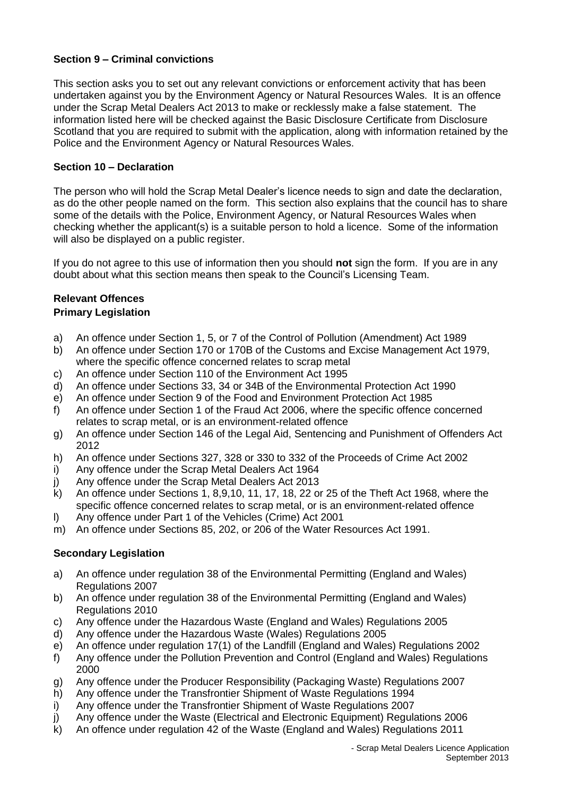# **Section 9 – Criminal convictions**

This section asks you to set out any relevant convictions or enforcement activity that has been undertaken against you by the Environment Agency or Natural Resources Wales. It is an offence under the Scrap Metal Dealers Act 2013 to make or recklessly make a false statement. The information listed here will be checked against the Basic Disclosure Certificate from Disclosure Scotland that you are required to submit with the application, along with information retained by the Police and the Environment Agency or Natural Resources Wales.

# **Section 10 – Declaration**

The person who will hold the Scrap Metal Dealer's licence needs to sign and date the declaration, as do the other people named on the form. This section also explains that the council has to share some of the details with the Police, Environment Agency, or Natural Resources Wales when checking whether the applicant(s) is a suitable person to hold a licence. Some of the information will also be displayed on a public register.

If you do not agree to this use of information then you should **not** sign the form. If you are in any doubt about what this section means then speak to the Council's Licensing Team.

#### **Relevant Offences Primary Legislation**

- a) An offence under Section 1, 5, or 7 of the Control of Pollution (Amendment) Act 1989
- b) An offence under Section 170 or 170B of the Customs and Excise Management Act 1979, where the specific offence concerned relates to scrap metal
- c) An offence under Section 110 of the Environment Act 1995
- d) An offence under Sections 33, 34 or 34B of the Environmental Protection Act 1990
- e) An offence under Section 9 of the Food and Environment Protection Act 1985
- f) An offence under Section 1 of the Fraud Act 2006, where the specific offence concerned relates to scrap metal, or is an environment-related offence
- g) An offence under Section 146 of the Legal Aid, Sentencing and Punishment of Offenders Act 2012
- h) An offence under Sections 327, 328 or 330 to 332 of the Proceeds of Crime Act 2002
- i) Any offence under the Scrap Metal Dealers Act 1964
- j) Any offence under the Scrap Metal Dealers Act 2013
- k) An offence under Sections 1, 8,9,10, 11, 17, 18, 22 or 25 of the Theft Act 1968, where the specific offence concerned relates to scrap metal, or is an environment-related offence
- l) Any offence under Part 1 of the Vehicles (Crime) Act 2001
- m) An offence under Sections 85, 202, or 206 of the Water Resources Act 1991.

# **Secondary Legislation**

- a) An offence under regulation 38 of the Environmental Permitting (England and Wales) Regulations 2007
- b) An offence under regulation 38 of the Environmental Permitting (England and Wales) Regulations 2010
- c) Any offence under the Hazardous Waste (England and Wales) Regulations 2005
- d) Any offence under the Hazardous Waste (Wales) Regulations 2005
- e) An offence under regulation 17(1) of the Landfill (England and Wales) Regulations 2002
- f) Any offence under the Pollution Prevention and Control (England and Wales) Regulations 2000
- g) Any offence under the Producer Responsibility (Packaging Waste) Regulations 2007
- h) Any offence under the Transfrontier Shipment of Waste Regulations 1994
- i) Any offence under the Transfrontier Shipment of Waste Regulations 2007
- j) Any offence under the Waste (Electrical and Electronic Equipment) Regulations 2006
- k) An offence under regulation 42 of the Waste (England and Wales) Regulations 2011